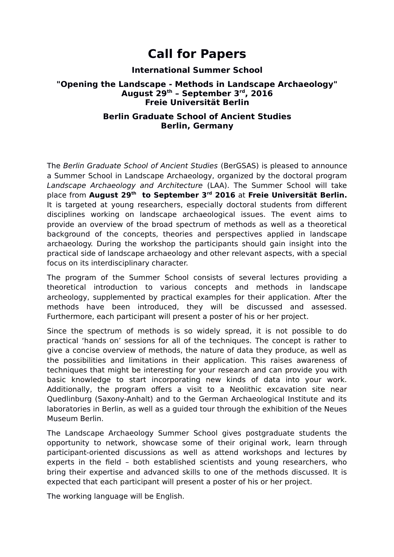# **Call for Papers**

# **International Summer School**

# **"Opening the Landscape - Methods in Landscape Archaeology" August 29th – September 3rd, 2016 Freie Universität Berlin**

# **Berlin Graduate School of Ancient Studies Berlin, Germany**

The Berlin Graduate School of Ancient Studies (BerGSAS) is pleased to announce a Summer School in Landscape Archaeology, organized by the doctoral program Landscape Archaeology and Architecture (LAA). The Summer School will take place from **August 29th to September 3rd 2016** at **Freie Universität Berlin.** It is targeted at young researchers, especially doctoral students from different disciplines working on landscape archaeological issues. The event aims to provide an overview of the broad spectrum of methods as well as a theoretical background of the concepts, theories and perspectives applied in landscape archaeology. During the workshop the participants should gain insight into the practical side of landscape archaeology and other relevant aspects, with a special focus on its interdisciplinary character.

The program of the Summer School consists of several lectures providing a theoretical introduction to various concepts and methods in landscape archeology, supplemented by practical examples for their application. After the methods have been introduced, they will be discussed and assessed. Furthermore, each participant will present a poster of his or her project.

Since the spectrum of methods is so widely spread, it is not possible to do practical 'hands on' sessions for all of the techniques. The concept is rather to give a concise overview of methods, the nature of data they produce, as well as the possibilities and limitations in their application. This raises awareness of techniques that might be interesting for your research and can provide you with basic knowledge to start incorporating new kinds of data into your work. Additionally, the program offers a visit to a Neolithic excavation site near Quedlinburg (Saxony-Anhalt) and to the German Archaeological Institute and its laboratories in Berlin, as well as a guided tour through the exhibition of the Neues Museum Berlin.

The Landscape Archaeology Summer School gives postgraduate students the opportunity to network, showcase some of their original work, learn through participant-oriented discussions as well as attend workshops and lectures by experts in the field – both established scientists and young researchers, who bring their expertise and advanced skills to one of the methods discussed. It is expected that each participant will present a poster of his or her project.

The working language will be English.